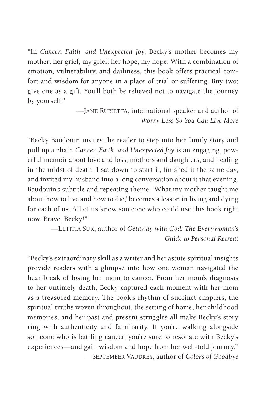"In *Cancer, Faith, and Unexpected Joy*, Becky's mother becomes my mother; her grief, my grief; her hope, my hope. With a combination of emotion, vulnerability, and dailiness, this book offers practical comfort and wisdom for anyone in a place of trial or suffering. Buy two; give one as a gift. You'll both be relieved not to navigate the journey by yourself."

> —Jane Rubietta, international speaker and author of *Worry Less So You Can Live More*

"Becky Baudouin invites the reader to step into her family story and pull up a chair. *Cancer, Faith, and Unexpected Joy* is an engaging, powerful memoir about love and loss, mothers and daughters, and healing in the midst of death. I sat down to start it, finished it the same day, and invited my husband into a long conversation about it that evening. Baudouin's subtitle and repeating theme, 'What my mother taught me about how to live and how to die,' becomes a lesson in living and dying for each of us. All of us know someone who could use this book right now. Bravo, Becky!"

> —Letitia Suk, author of *Getaway with God: The Everywoman's Guide to Personal Retreat*

"Becky's extraordinary skill as a writer and her astute spiritual insights provide readers with a glimpse into how one woman navigated the heartbreak of losing her mom to cancer. From her mom's diagnosis to her untimely death, Becky captured each moment with her mom as a treasured memory. The book's rhythm of succinct chapters, the spiritual truths woven throughout, the setting of home, her childhood memories, and her past and present struggles all make Becky's story ring with authenticity and familiarity. If you're walking alongside someone who is battling cancer, you're sure to resonate with Becky's experiences—and gain wisdom and hope from her well-told journey."

—September Vaudrey, author of *Colors of Goodbye*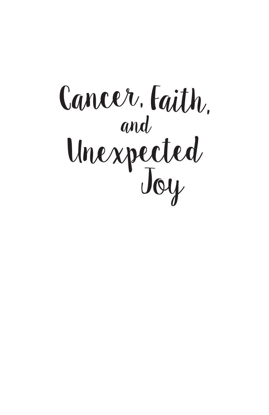# Unexpected Joy Cancer, *Faith*, and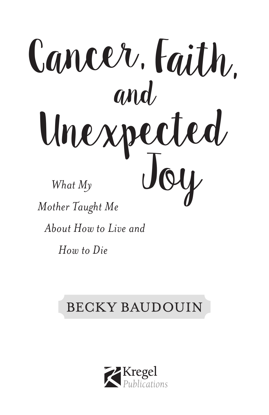

*How to Die*

### BECKY BAUDOUIN

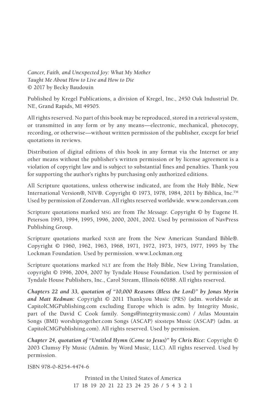*Cancer, Faith, and Unexpected Joy: What My Mother Taught Me About How to Live and How to Die* © 2017 by Becky Baudouin

Published by Kregel Publications, a division of Kregel, Inc., 2450 Oak Industrial Dr. NE, Grand Rapids, MI 49505.

All rights reserved. No part of this book may be reproduced, stored in a retrieval system, or transmitted in any form or by any means—electronic, mechanical, photocopy, recording, or otherwise—without written permission of the publisher, except for brief quotations in reviews.

Distribution of digital editions of this book in any format via the Internet or any other means without the publisher's written permission or by license agreement is a violation of copyright law and is subject to substantial fines and penalties. Thank you for supporting the author's rights by purchasing only authorized editions.

All Scripture quotations, unless otherwise indicated, are from the Holy Bible, New International Version®, NIV®. Copyright © 1973, 1978, 1984, 2011 by Biblica, Inc.TM Used by permission of Zondervan. All rights reserved worldwide. www.zondervan.com

Scripture quotations marked msg are from *The Message*. Copyright © by Eugene H. Peterson 1993, 1994, 1995, 1996, 2000, 2001, 2002. Used by permission of NavPress Publishing Group.

Scripture quotations marked NASB are from the New American Standard Bible®. Copyright © 1960, 1962, 1963, 1968, 1971, 1972, 1973, 1975, 1977, 1995 by The Lockman Foundation. Used by permission. www.Lockman.org

Scripture quotations marked NLT are from the Holy Bible, New Living Translation, copyright © 1996, 2004, 2007 by Tyndale House Foundation. Used by permission of Tyndale House Publishers, Inc., Carol Stream, Illinois 60188. All rights reserved.

*Chapters 22 and 33, quotation of "10,000 Reasons (Bless the Lord)" by Jonas Myrin and Matt Redman:* Copyright © 2011 Thankyou Music (PRS) (adm. worldwide at CapitolCMGPublishing.com excluding Europe which is adm. by Integrity Music, part of the David C Cook family. Songs@integritymusic.com) / Atlas Mountain Songs (BMI) worshiptogether.com Songs (ASCAP) sixsteps Music (ASCAP) (adm. at CapitolCMGPublishing.com). All rights reserved. Used by permission.

*Chapter 24, quotation of "Untitled Hymn (Come to Jesus)" by Chris Rice:* Copyright © 2003 Clumsy Fly Music (Admin. by Word Music, LLC). All rights reserved. Used by permission.

ISBN 978-0-8254-4474-6

Printed in the United States of America 17 18 19 20 21 22 23 24 25 26 / 5 4 3 2 1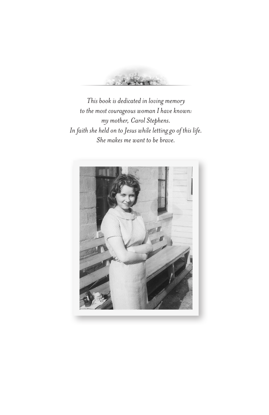

This book is dedicated in loving memory to the most courageous woman I have known: my mother, Carol Stephens. In faith she held on to Jesus while letting go of this life. She makes me want to be brave.

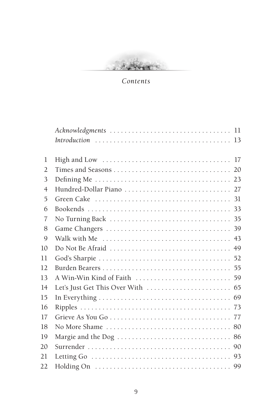Section .

*Contents*

| Letting Go $\ldots \ldots \ldots \ldots \ldots \ldots \ldots \ldots \ldots \ldots \ldots \ldots$ . 93 |
|-------------------------------------------------------------------------------------------------------|
|                                                                                                       |
|                                                                                                       |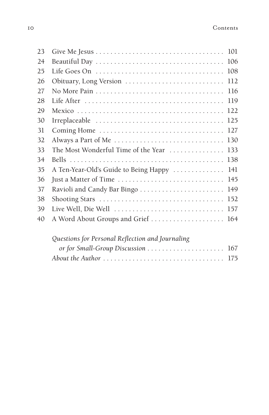| 23 |                                                                                             |
|----|---------------------------------------------------------------------------------------------|
| 24 |                                                                                             |
| 25 | 108                                                                                         |
| 26 | 112<br>Obituary, Long Version                                                               |
| 27 | 116                                                                                         |
| 28 | 119                                                                                         |
| 29 | 122                                                                                         |
| 30 | 125                                                                                         |
| 31 | 127                                                                                         |
| 32 | Always a Part of Me $\ldots \ldots \ldots \ldots \ldots \ldots \ldots \ldots \ldots$<br>130 |
| 33 | The Most Wonderful Time of the Year<br>133                                                  |
| 34 | 138                                                                                         |
| 35 | A Ten-Year-Old's Guide to Being Happy<br>141                                                |
| 36 | Just a Matter of Time<br>145                                                                |
| 37 | 149                                                                                         |
| 38 | 152                                                                                         |
| 39 | Live Well, Die Well<br>157                                                                  |
| 40 | A Word About Groups and Grief  164                                                          |
|    |                                                                                             |
|    |                                                                                             |

#### *Questions for Personal Reflection and Journaling*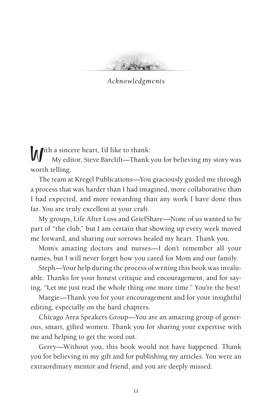*Acknowledgments*

Ith a sincere heart, I'd like to thank:

My editor, Steve Barclift—Thank you for believing my story was worth telling.

The team at Kregel Publications—You graciously guided me through a process that was harder than I had imagined, more collaborative than I had expected, and more rewarding than any work I have done thus far. You are truly excellent at your craft.

My groups, Life After Loss and GriefShare—None of us wanted to be part of "the club," but I am certain that showing up every week moved me forward, and sharing our sorrows healed my heart. Thank you.

Mom's amazing doctors and nurses—I don't remember all your names, but I will never forget how you cared for Mom and our family.

Steph—Your help during the process of writing this book was invaluable. Thanks for your honest critique and encouragement, and for saying, "Let me just read the whole thing one more time." You're the best!

Margie—Thank you for your encouragement and for your insightful editing, especially on the hard chapters.

Chicago Area Speakers Group—You are an amazing group of generous, smart, gifted women. Thank you for sharing your expertise with me and helping to get the word out.

Gerry—Without you, this book would not have happened. Thank you for believing in my gift and for publishing my articles. You were an extraordinary mentor and friend, and you are deeply missed.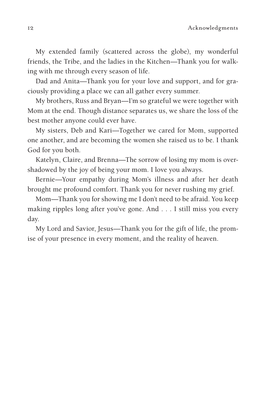My extended family (scattered across the globe), my wonderful friends, the Tribe, and the ladies in the Kitchen—Thank you for walking with me through every season of life.

Dad and Anita—Thank you for your love and support, and for graciously providing a place we can all gather every summer.

My brothers, Russ and Bryan—I'm so grateful we were together with Mom at the end. Though distance separates us, we share the loss of the best mother anyone could ever have.

My sisters, Deb and Kari—Together we cared for Mom, supported one another, and are becoming the women she raised us to be. I thank God for you both.

Katelyn, Claire, and Brenna—The sorrow of losing my mom is overshadowed by the joy of being your mom. I love you always.

Bernie—Your empathy during Mom's illness and after her death brought me profound comfort. Thank you for never rushing my grief.

Mom—Thank you for showing me I don't need to be afraid. You keep making ripples long after you've gone. And . . . I still miss you every day.

My Lord and Savior, Jesus—Thank you for the gift of life, the promise of your presence in every moment, and the reality of heaven.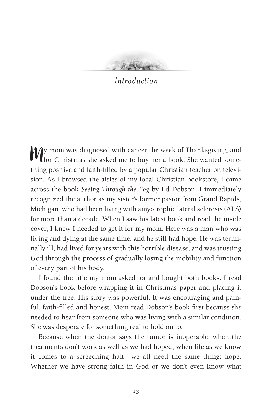#### *Introduction*

Wy mom was diagnosed with cancer the week of Thanksgiving, and for Christmas she asked me to buy her a book. She wanted something positive and faith-filled by a popular Christian teacher on television. As I browsed the aisles of my local Christian bookstore, I came across the book *Seeing Through the Fog* by Ed Dobson. I immediately recognized the author as my sister's former pastor from Grand Rapids, Michigan, who had been living with amyotrophic lateral sclerosis (ALS) for more than a decade. When I saw his latest book and read the inside cover, I knew I needed to get it for my mom. Here was a man who was living and dying at the same time, and he still had hope. He was terminally ill, had lived for years with this horrible disease, and was trusting God through the process of gradually losing the mobility and function of every part of his body.

I found the title my mom asked for and bought both books. I read Dobson's book before wrapping it in Christmas paper and placing it under the tree. His story was powerful. It was encouraging and painful, faith-filled and honest. Mom read Dobson's book first because she needed to hear from someone who was living with a similar condition. She was desperate for something real to hold on to.

Because when the doctor says the tumor is inoperable, when the treatments don't work as well as we had hoped, when life as we know it comes to a screeching halt—we all need the same thing: hope. Whether we have strong faith in God or we don't even know what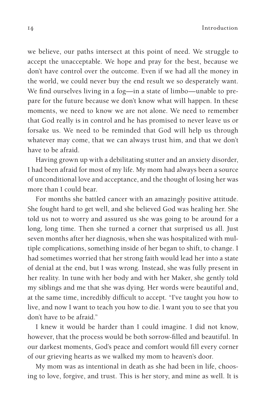14 Introduction

we believe, our paths intersect at this point of need. We struggle to accept the unacceptable. We hope and pray for the best, because we don't have control over the outcome. Even if we had all the money in the world, we could never buy the end result we so desperately want. We find ourselves living in a fog—in a state of limbo—unable to prepare for the future because we don't know what will happen. In these moments, we need to know we are not alone. We need to remember that God really is in control and he has promised to never leave us or forsake us. We need to be reminded that God will help us through whatever may come, that we can always trust him, and that we don't have to be afraid.

Having grown up with a debilitating stutter and an anxiety disorder, I had been afraid for most of my life. My mom had always been a source of unconditional love and acceptance, and the thought of losing her was more than I could bear.

For months she battled cancer with an amazingly positive attitude. She fought hard to get well, and she believed God was healing her. She told us not to worry and assured us she was going to be around for a long, long time. Then she turned a corner that surprised us all. Just seven months after her diagnosis, when she was hospitalized with multiple complications, something inside of her began to shift, to change. I had sometimes worried that her strong faith would lead her into a state of denial at the end, but I was wrong. Instead, she was fully present in her reality. In tune with her body and with her Maker, she gently told my siblings and me that she was dying. Her words were beautiful and, at the same time, incredibly difficult to accept. "I've taught you how to live, and now I want to teach you how to die. I want you to see that you don't have to be afraid."

I knew it would be harder than I could imagine. I did not know, however, that the process would be both sorrow-filled and beautiful. In our darkest moments, God's peace and comfort would fill every corner of our grieving hearts as we walked my mom to heaven's door.

My mom was as intentional in death as she had been in life, choosing to love, forgive, and trust. This is her story, and mine as well. It is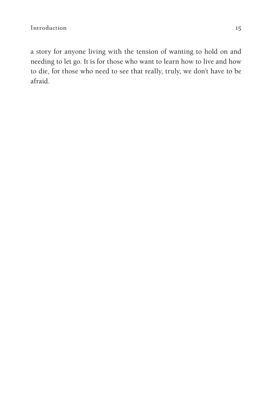a story for anyone living with the tension of wanting to hold on and needing to let go. It is for those who want to learn how to live and how to die, for those who need to see that really, truly, we don't have to be afraid.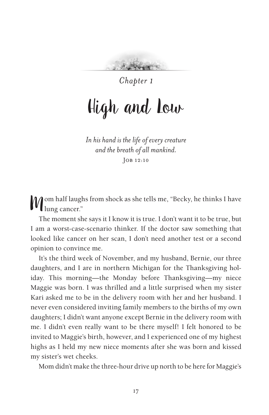

*Chapter 1*

## High and Low

*In hishandis the lifeof every creature and the breath of all mankind.* Job 12:10

Mom half laughs from shock as she tells me, "Becky, he thinks I have lung cancer."

The moment she says it I know it is true. I don't want it to be true, but I am a worst-case-scenario thinker. If the doctor saw something that looked like cancer on her scan, I don't need another test or a second opinion to convince me.

It's the third week of November, and my husband, Bernie, our three daughters, and I are in northern Michigan for the Thanksgiving holiday. This morning—the Monday before Thanksgiving—my niece Maggie was born. I was thrilled and a little surprised when my sister Kari asked me to be in the delivery room with her and her husband. I never even considered inviting family members to the births of my own daughters; I didn't want anyone except Bernie in the delivery room with me. I didn't even really want to be there myself! I felt honored to be invited to Maggie's birth, however, and I experienced one of my highest highs as I held my new niece moments after she was born and kissed my sister's wet cheeks.

Mom didn't make the three-hour drive up north to be here for Maggie's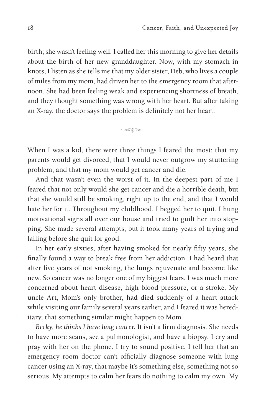birth; she wasn't feeling well. I called her this morning to give her details about the birth of her new granddaughter. Now, with my stomach in knots, I listen as she tells me that my older sister, Deb, who lives a couple of miles from my mom, had driven her to the emergency room that afternoon. She had been feeling weak and experiencing shortness of breath, and they thought something was wrong with her heart. But after taking an X-ray, the doctor says the problem is definitely not her heart.

 $\sqrt{10}$ 

When I was a kid, there were three things I feared the most: that my parents would get divorced, that I would never outgrow my stuttering problem, and that my mom would get cancer and die.

And that wasn't even the worst of it. In the deepest part of me I feared that not only would she get cancer and die a horrible death, but that she would still be smoking, right up to the end, and that I would hate her for it. Throughout my childhood, I begged her to quit. I hung motivational signs all over our house and tried to guilt her into stopping. She made several attempts, but it took many years of trying and failing before she quit for good.

In her early sixties, after having smoked for nearly fifty years, she finally found a way to break free from her addiction. I had heard that after five years of not smoking, the lungs rejuvenate and become like new. So cancer was no longer one of my biggest fears. I was much more concerned about heart disease, high blood pressure, or a stroke. My uncle Art, Mom's only brother, had died suddenly of a heart attack while visiting our family several years earlier, and I feared it was hereditary, that something similar might happen to Mom.

*Becky, he thinks I have lung cancer.* It isn't a firm diagnosis. She needs to have more scans, see a pulmonologist, and have a biopsy. I cry and pray with her on the phone. I try to sound positive. I tell her that an emergency room doctor can't officially diagnose someone with lung cancer using an X-ray, that maybe it's something else, something not so serious. My attempts to calm her fears do nothing to calm my own. My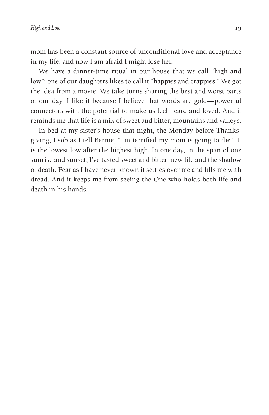mom has been a constant source of unconditional love and acceptance in my life, and now I am afraid I might lose her.

We have a dinner-time ritual in our house that we call "high and low"; one of our daughters likes to call it "happies and crappies." We got the idea from a movie. We take turns sharing the best and worst parts of our day. I like it because I believe that words are gold—powerful connectors with the potential to make us feel heard and loved. And it reminds me that life is a mix of sweet and bitter, mountains and valleys.

In bed at my sister's house that night, the Monday before Thanksgiving, I sob as I tell Bernie, "I'm terrified my mom is going to die." It is the lowest low after the highest high. In one day, in the span of one sunrise and sunset, I've tasted sweet and bitter, new life and the shadow of death. Fear as I have never known it settles over me and fills me with dread. And it keeps me from seeing the One who holds both life and death in his hands.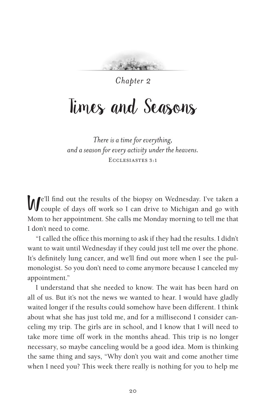*Chapter 2*

### Times and Seasons

*There isatime for everything, andaseason for everyactivity under theheavens.* Ecclesiastes 3:1

We'll find out the results of the biopsy on Wednesday. I've taken a couple of days off work so I can drive to Michigan and go with Mom to her appointment. She calls me Monday morning to tell me that I don't need to come.

"I called the office this morning to ask if they had the results. I didn't want to wait until Wednesday if they could just tell me over the phone. It's definitely lung cancer, and we'll find out more when I see the pulmonologist. So you don't need to come anymore because I canceled my appointment."

I understand that she needed to know. The wait has been hard on all of us. But it's not the news we wanted to hear. I would have gladly waited longer if the results could somehow have been different. I think about what she has just told me, and for a millisecond I consider canceling my trip. The girls are in school, and I know that I will need to take more time off work in the months ahead. This trip is no longer necessary, so maybe canceling would be a good idea. Mom is thinking the same thing and says, "Why don't you wait and come another time when I need you? This week there really is nothing for you to help me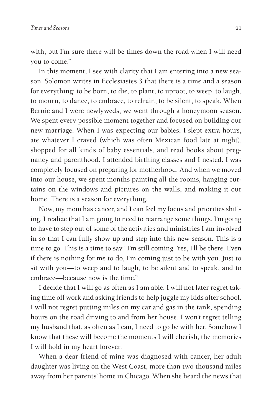with, but I'm sure there will be times down the road when I will need you to come."

In this moment, I see with clarity that I am entering into a new season. Solomon writes in Ecclesiastes 3 that there is a time and a season for everything: to be born, to die, to plant, to uproot, to weep, to laugh, to mourn, to dance, to embrace, to refrain, to be silent, to speak. When Bernie and I were newlyweds, we went through a honeymoon season. We spent every possible moment together and focused on building our new marriage. When I was expecting our babies, I slept extra hours, ate whatever I craved (which was often Mexican food late at night), shopped for all kinds of baby essentials, and read books about pregnancy and parenthood. I attended birthing classes and I nested. I was completely focused on preparing for motherhood. And when we moved into our house, we spent months painting all the rooms, hanging curtains on the windows and pictures on the walls, and making it our home. There is a season for everything.

Now, my mom has cancer, and I can feel my focus and priorities shifting. I realize that I am going to need to rearrange some things. I'm going to have to step out of some of the activities and ministries I am involved in so that I can fully show up and step into this new season. This is a time to go. This is a time to say "I'm still coming. Yes, I'll be there. Even if there is nothing for me to do, I'm coming just to be with you. Just to sit with you—to weep and to laugh, to be silent and to speak, and to embrace—because now is the time."

I decide that I will go as often as I am able. I will not later regret taking time off work and asking friends to help juggle my kids after school. I will not regret putting miles on my car and gas in the tank, spending hours on the road driving to and from her house. I won't regret telling my husband that, as often as I can, I need to go be with her. Somehow I know that these will become the moments I will cherish, the memories I will hold in my heart forever.

When a dear friend of mine was diagnosed with cancer, her adult daughter was living on the West Coast, more than two thousand miles away from her parents' home in Chicago. When she heard the news that